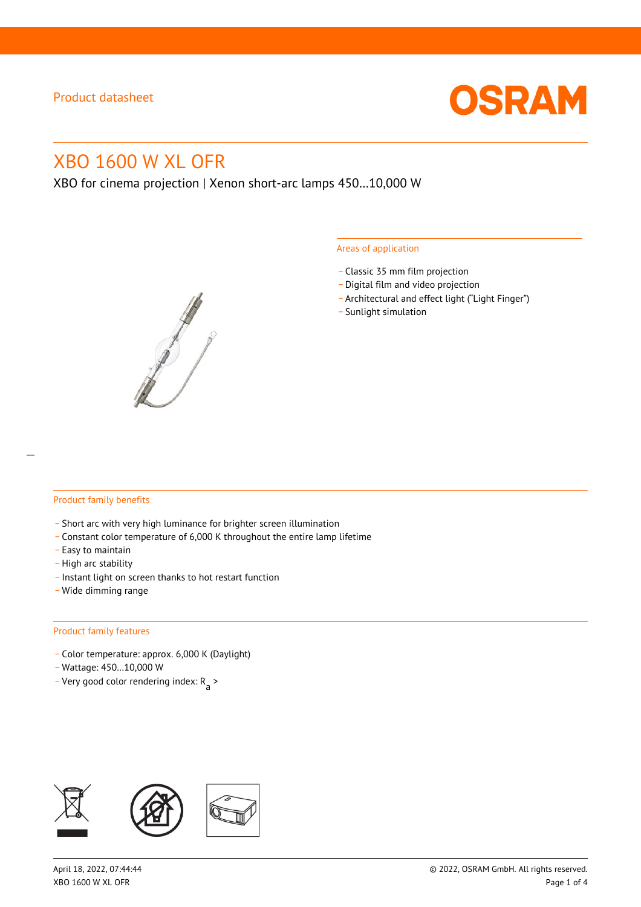

# XBO 1600 W XL OFR

XBO for cinema projection | Xenon short-arc lamps 450…10,000 W



#### Areas of application

- \_ Classic 35 mm film projection
- \_ Digital film and video projection
- \_ Architectural and effect light ("Light Finger")
- Sunlight simulation

#### Product family benefits

- \_ Short arc with very high luminance for brighter screen illumination
- \_ Constant color temperature of 6,000 K throughout the entire lamp lifetime
- \_ Easy to maintain
- High arc stability
- \_ Instant light on screen thanks to hot restart function
- \_ Wide dimming range

#### Product family features

- \_ Color temperature: approx. 6,000 K (Daylight)
- \_ Wattage: 450…10,000 W
- Very good color rendering index:  $R_{\text{a}}$  >

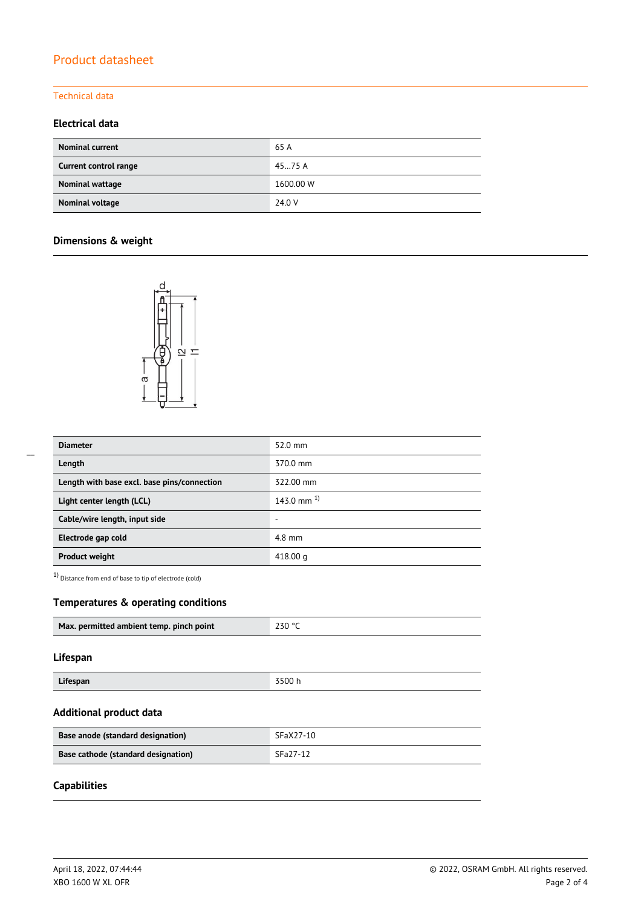### Technical data

## **Electrical data**

| <b>Nominal current</b> | 65 A      |
|------------------------|-----------|
| Current control range  | 4575A     |
| Nominal wattage        | 1600.00 W |
| Nominal voltage        | 24.0 V    |

# **Dimensions & weight**



| <b>Diameter</b>                             | 52.0 mm         |
|---------------------------------------------|-----------------|
| Length                                      | 370.0 mm        |
| Length with base excl. base pins/connection | 322.00 mm       |
| Light center length (LCL)                   | 143.0 mm $^{1}$ |
| Cable/wire length, input side               | -               |
| Electrode gap cold                          | $4.8$ mm        |
| <b>Product weight</b>                       | 418.00 g        |

1) Distance from end of base to tip of electrode (cold)

### **Temperatures & operating conditions**

| Max. permitted ambient temp. pinch point | 230 °C |
|------------------------------------------|--------|
|                                          |        |

### **Lifespan**

| Lifespan | 3500h |
|----------|-------|

#### **Additional product data**

| Base anode (standard designation)   | SFaX27-10 |
|-------------------------------------|-----------|
| Base cathode (standard designation) | SFa27-12  |

# **Capabilities**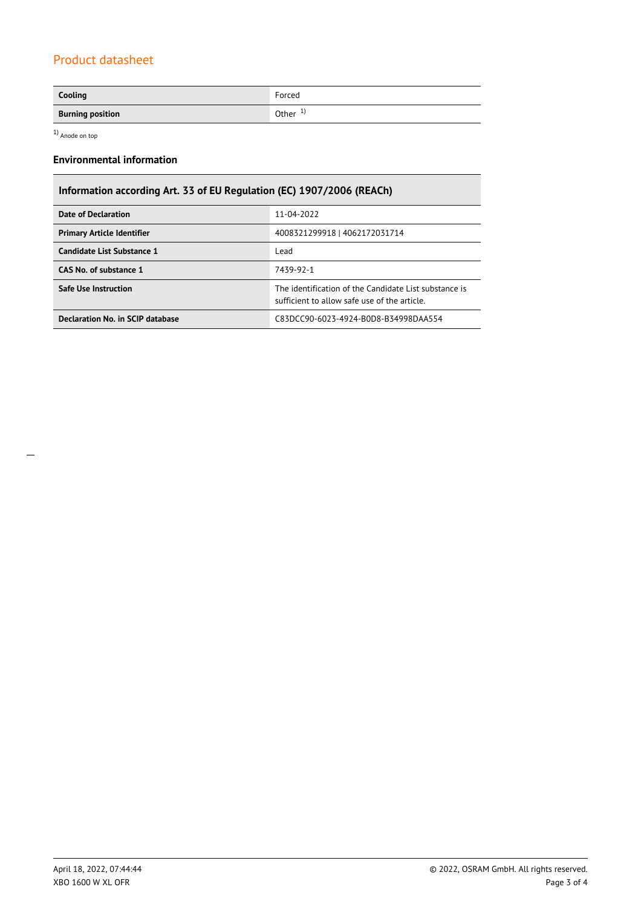| Cooling                 | Forced    |
|-------------------------|-----------|
| <b>Burning position</b> | Other $1$ |

1) Anode on top

# **Environmental information**

| Information according Art. 33 of EU Regulation (EC) 1907/2006 (REACh) |                                                                                                      |  |  |  |
|-----------------------------------------------------------------------|------------------------------------------------------------------------------------------------------|--|--|--|
| Date of Declaration                                                   | 11-04-2022                                                                                           |  |  |  |
| <b>Primary Article Identifier</b>                                     | 4008321299918   4062172031714                                                                        |  |  |  |
| Candidate List Substance 1                                            | Lead                                                                                                 |  |  |  |
| CAS No. of substance 1                                                | 7439-92-1                                                                                            |  |  |  |
| <b>Safe Use Instruction</b>                                           | The identification of the Candidate List substance is<br>sufficient to allow safe use of the article |  |  |  |
| Declaration No. in SCIP database                                      | C83DCC90-6023-4924-B0D8-B34998DAA554                                                                 |  |  |  |